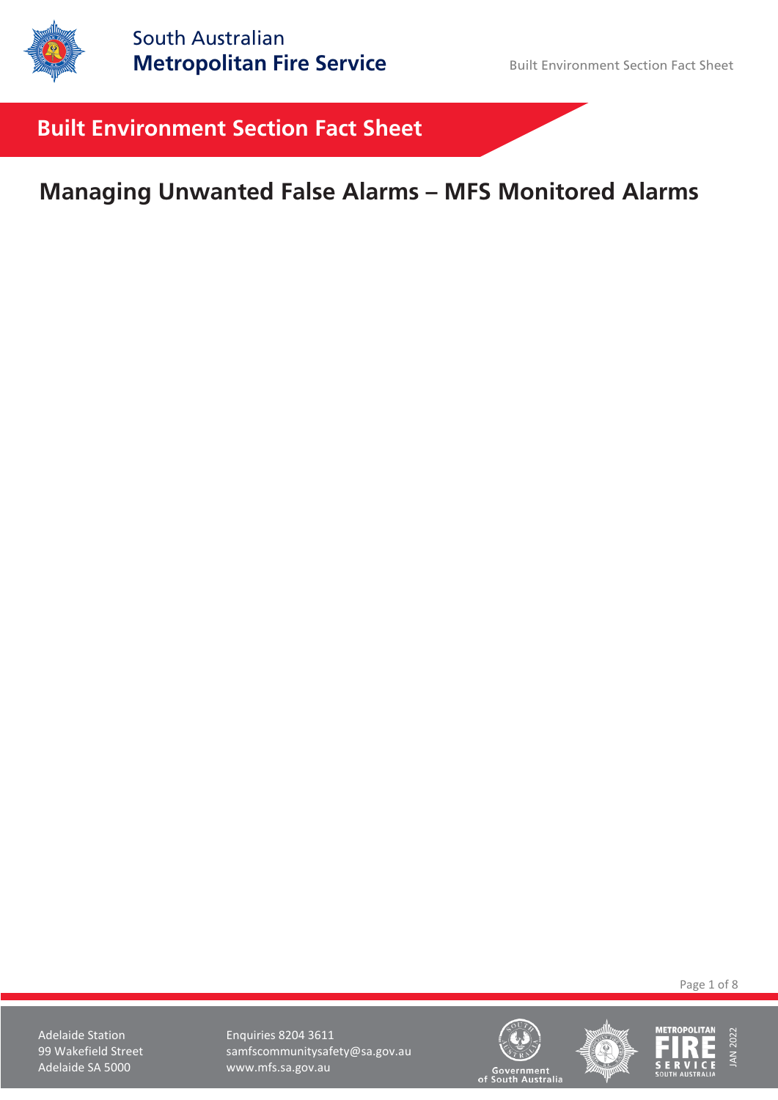

# **Built Environment Section Fact Sheet**

# **Managing Unwanted False Alarms – MFS Monitored Alarms**

Page 1 of 8





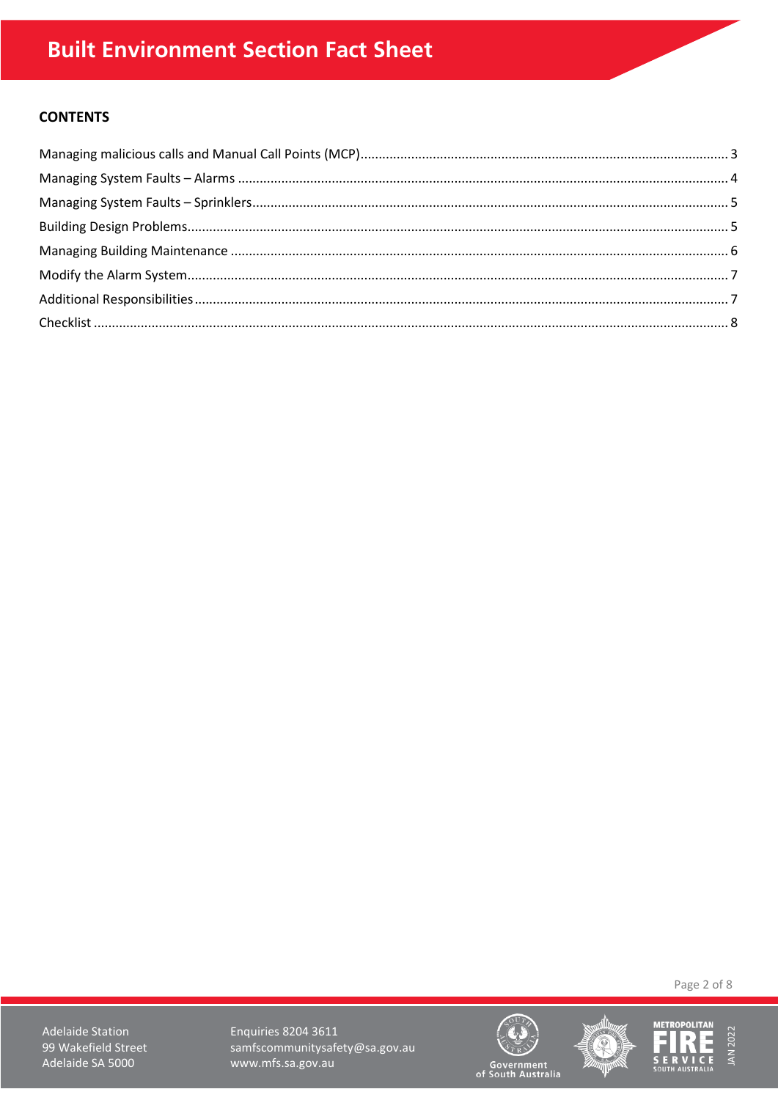# **CONTENTS**

Page 2 of 8

**Adelaide Station** 99 Wakefield Street Adelaide SA 5000

Enquiries 8204 3611 samfscommunitysafety@sa.gov.au www.mfs.sa.gov.au







Government<br>of South Australia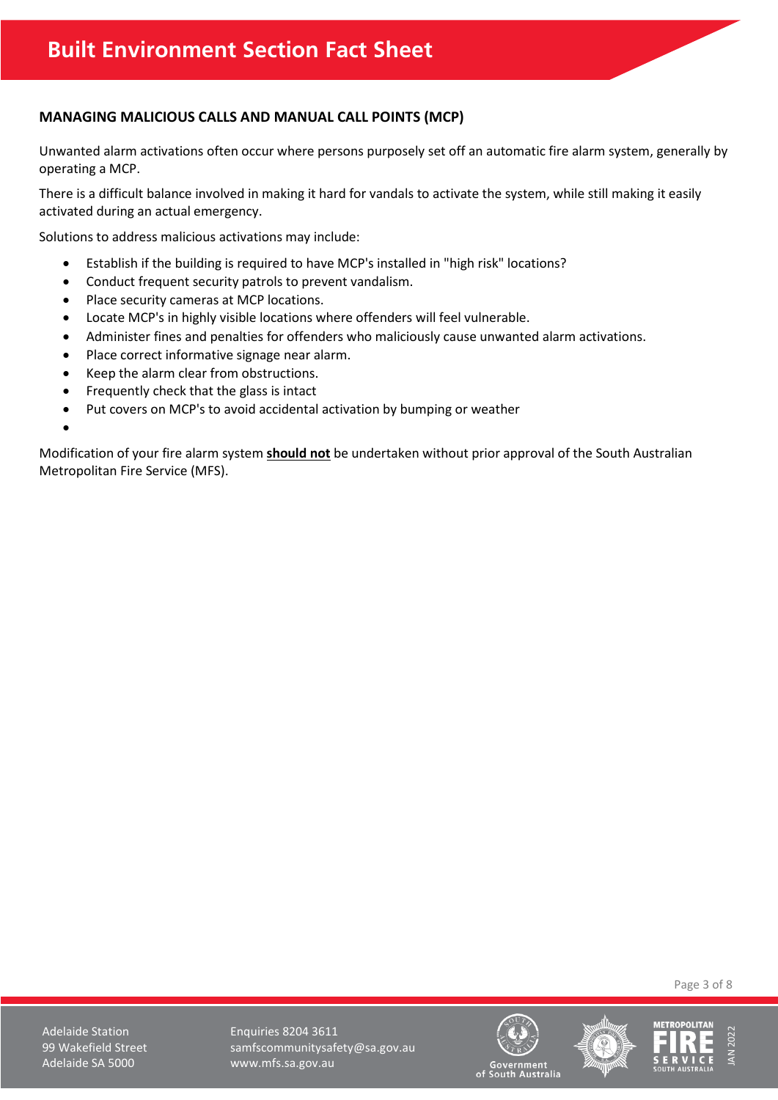# <span id="page-2-0"></span>**MANAGING MALICIOUS CALLS AND MANUAL CALL POINTS (MCP)**

Unwanted alarm activations often occur where persons purposely set off an automatic fire alarm system, generally by operating a MCP.

There is a difficult balance involved in making it hard for vandals to activate the system, while still making it easily activated during an actual emergency.

Solutions to address malicious activations may include:

- Establish if the building is required to have MCP's installed in "high risk" locations?
- Conduct frequent security patrols to prevent vandalism.
- Place security cameras at MCP locations.
- Locate MCP's in highly visible locations where offenders will feel vulnerable.
- Administer fines and penalties for offenders who maliciously cause unwanted alarm activations.
- Place correct informative signage near alarm.
- Keep the alarm clear from obstructions.
- Frequently check that the glass is intact
- Put covers on MCP's to avoid accidental activation by bumping or weather
- •

Modification of your fire alarm system **should not** be undertaken without prior approval of the South Australian Metropolitan Fire Service (MFS).

Page 3 of 8

Adelaide Station **Enquiries 8204 3611** 99 Wakefield Street samfscommunitysafety@sa.gov.au Adelaide SA 5000 www.mfs.sa.gov.au







Government<br>South Australia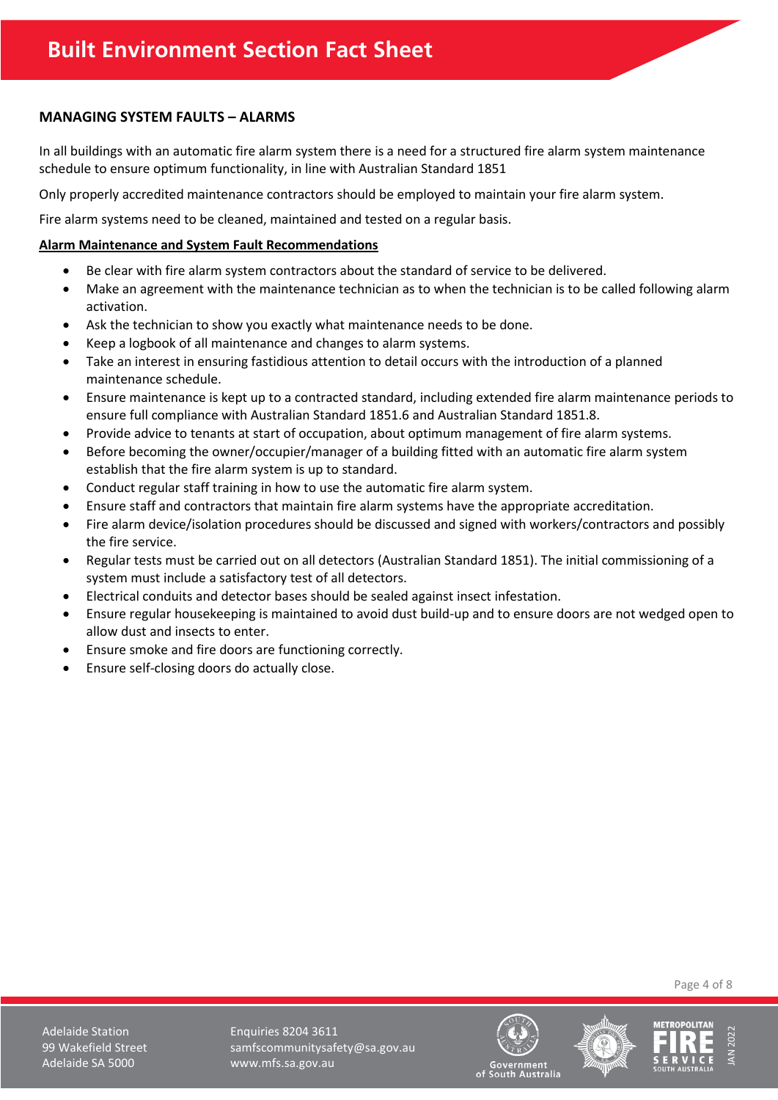# <span id="page-3-0"></span>**MANAGING SYSTEM FAULTS – ALARMS**

In all buildings with an automatic fire alarm system there is a need for a structured fire alarm system maintenance schedule to ensure optimum functionality, in line with Australian Standard 1851

Only properly accredited maintenance contractors should be employed to maintain your fire alarm system.

Fire alarm systems need to be cleaned, maintained and tested on a regular basis.

#### **Alarm Maintenance and System Fault Recommendations**

- Be clear with fire alarm system contractors about the standard of service to be delivered.
- Make an agreement with the maintenance technician as to when the technician is to be called following alarm activation.
- Ask the technician to show you exactly what maintenance needs to be done.
- Keep a logbook of all maintenance and changes to alarm systems.
- Take an interest in ensuring fastidious attention to detail occurs with the introduction of a planned maintenance schedule.
- Ensure maintenance is kept up to a contracted standard, including extended fire alarm maintenance periods to ensure full compliance with Australian Standard 1851.6 and Australian Standard 1851.8.
- Provide advice to tenants at start of occupation, about optimum management of fire alarm systems.
- Before becoming the owner/occupier/manager of a building fitted with an automatic fire alarm system establish that the fire alarm system is up to standard.
- Conduct regular staff training in how to use the automatic fire alarm system.
- Ensure staff and contractors that maintain fire alarm systems have the appropriate accreditation.
- Fire alarm device/isolation procedures should be discussed and signed with workers/contractors and possibly the fire service.
- Regular tests must be carried out on all detectors (Australian Standard 1851). The initial commissioning of a system must include a satisfactory test of all detectors.
- Electrical conduits and detector bases should be sealed against insect infestation.
- Ensure regular housekeeping is maintained to avoid dust build-up and to ensure doors are not wedged open to allow dust and insects to enter.
- Ensure smoke and fire doors are functioning correctly.
- Ensure self-closing doors do actually close.

Page 4 of 8





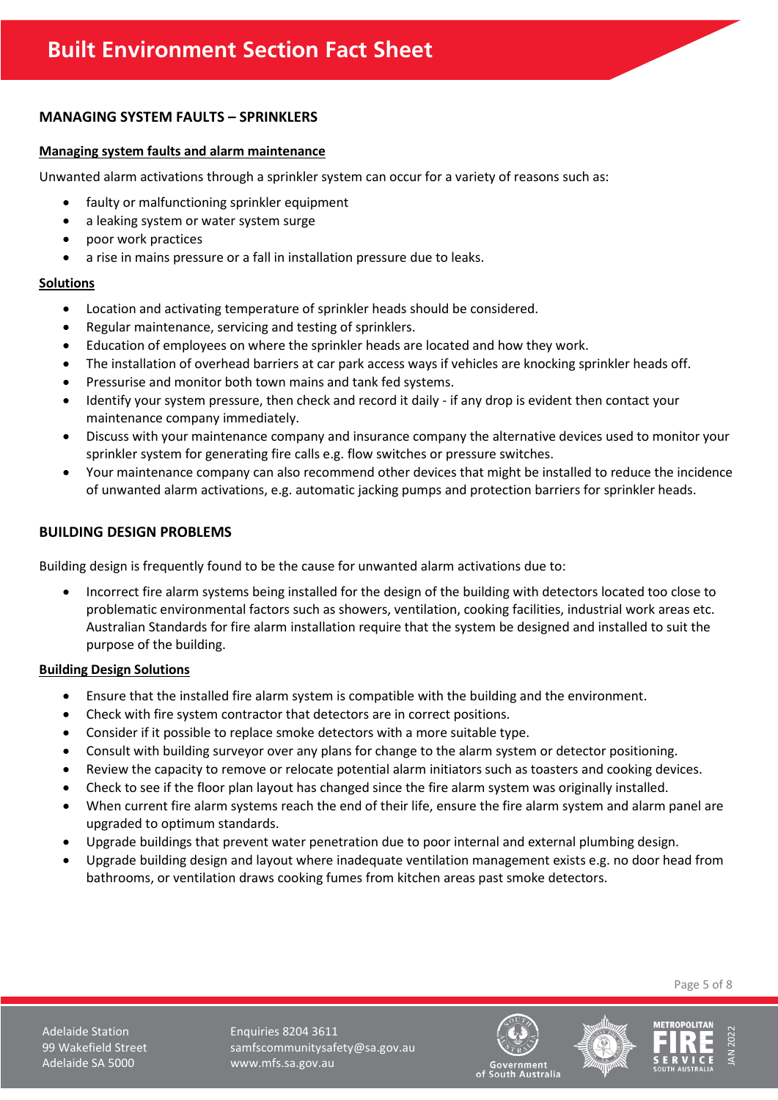# <span id="page-4-0"></span>**MANAGING SYSTEM FAULTS – SPRINKLERS**

#### **Managing system faults and alarm maintenance**

Unwanted alarm activations through a sprinkler system can occur for a variety of reasons such as:

- faulty or malfunctioning sprinkler equipment
- a leaking system or water system surge
- poor work practices
- a rise in mains pressure or a fall in installation pressure due to leaks.

#### **Solutions**

- Location and activating temperature of sprinkler heads should be considered.
- Regular maintenance, servicing and testing of sprinklers.
- Education of employees on where the sprinkler heads are located and how they work.
- The installation of overhead barriers at car park access ways if vehicles are knocking sprinkler heads off.
- Pressurise and monitor both town mains and tank fed systems.
- Identify your system pressure, then check and record it daily if any drop is evident then contact your maintenance company immediately.
- Discuss with your maintenance company and insurance company the alternative devices used to monitor your sprinkler system for generating fire calls e.g. flow switches or pressure switches.
- Your maintenance company can also recommend other devices that might be installed to reduce the incidence of unwanted alarm activations, e.g. automatic jacking pumps and protection barriers for sprinkler heads.

# <span id="page-4-1"></span>**BUILDING DESIGN PROBLEMS**

Building design is frequently found to be the cause for unwanted alarm activations due to:

• Incorrect fire alarm systems being installed for the design of the building with detectors located too close to problematic environmental factors such as showers, ventilation, cooking facilities, industrial work areas etc. Australian Standards for fire alarm installation require that the system be designed and installed to suit the purpose of the building.

#### **Building Design Solutions**

- Ensure that the installed fire alarm system is compatible with the building and the environment.
- Check with fire system contractor that detectors are in correct positions.
- Consider if it possible to replace smoke detectors with a more suitable type.
- Consult with building surveyor over any plans for change to the alarm system or detector positioning.
- Review the capacity to remove or relocate potential alarm initiators such as toasters and cooking devices.
- Check to see if the floor plan layout has changed since the fire alarm system was originally installed.
- When current fire alarm systems reach the end of their life, ensure the fire alarm system and alarm panel are upgraded to optimum standards.
- Upgrade buildings that prevent water penetration due to poor internal and external plumbing design.
- Upgrade building design and layout where inadequate ventilation management exists e.g. no door head from bathrooms, or ventilation draws cooking fumes from kitchen areas past smoke detectors.

Page 5 of 8





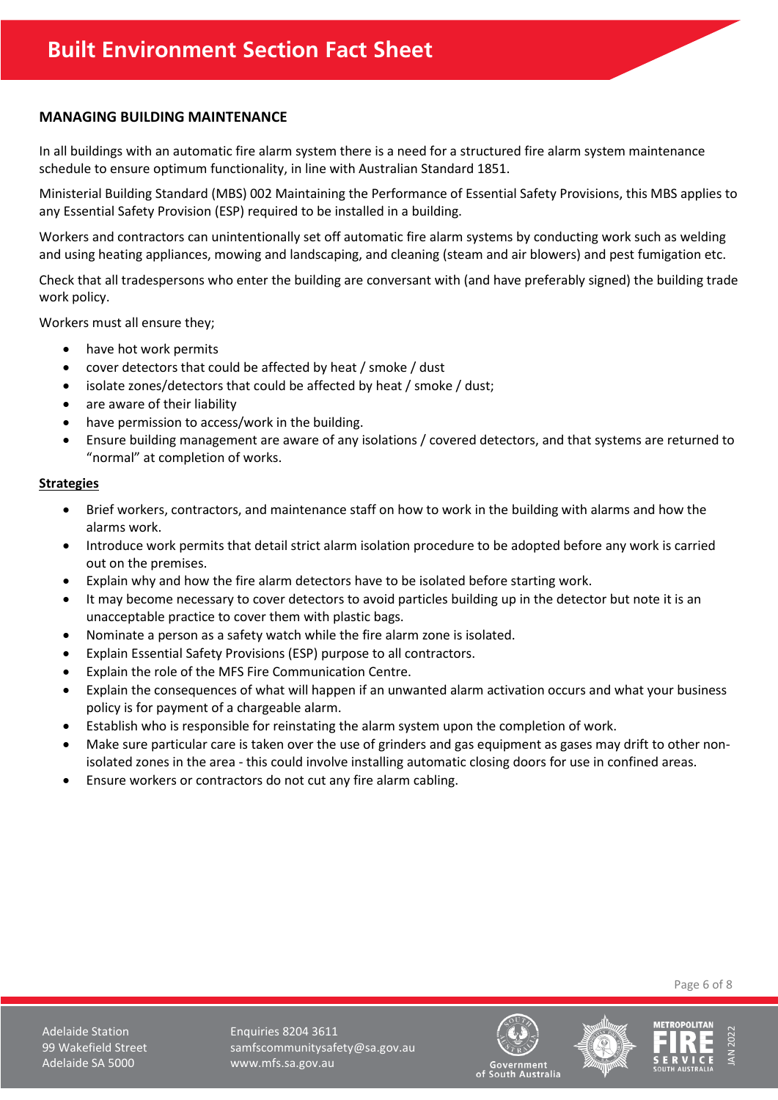# <span id="page-5-0"></span>**MANAGING BUILDING MAINTENANCE**

In all buildings with an automatic fire alarm system there is a need for a structured fire alarm system maintenance schedule to ensure optimum functionality, in line with Australian Standard 1851.

Ministerial Building Standard (MBS) 002 Maintaining the Performance of Essential Safety Provisions, this MBS applies to any Essential Safety Provision (ESP) required to be installed in a building.

Workers and contractors can unintentionally set off automatic fire alarm systems by conducting work such as welding and using heating appliances, mowing and landscaping, and cleaning (steam and air blowers) and pest fumigation etc.

Check that all tradespersons who enter the building are conversant with (and have preferably signed) the building trade work policy.

Workers must all ensure they;

- have hot work permits
- cover detectors that could be affected by heat / smoke / dust
- isolate zones/detectors that could be affected by heat / smoke / dust;
- are aware of their liability
- have permission to access/work in the building.
- Ensure building management are aware of any isolations / covered detectors, and that systems are returned to "normal" at completion of works.

#### **Strategies**

- Brief workers, contractors, and maintenance staff on how to work in the building with alarms and how the alarms work.
- Introduce work permits that detail strict alarm isolation procedure to be adopted before any work is carried out on the premises.
- Explain why and how the fire alarm detectors have to be isolated before starting work.
- It may become necessary to cover detectors to avoid particles building up in the detector but note it is an unacceptable practice to cover them with plastic bags.
- Nominate a person as a safety watch while the fire alarm zone is isolated.
- Explain Essential Safety Provisions (ESP) purpose to all contractors.
- Explain the role of the MFS Fire Communication Centre.
- Explain the consequences of what will happen if an unwanted alarm activation occurs and what your business policy is for payment of a chargeable alarm.
- Establish who is responsible for reinstating the alarm system upon the completion of work.
- Make sure particular care is taken over the use of grinders and gas equipment as gases may drift to other nonisolated zones in the area - this could involve installing automatic closing doors for use in confined areas.
- Ensure workers or contractors do not cut any fire alarm cabling.

Page 6 of 8





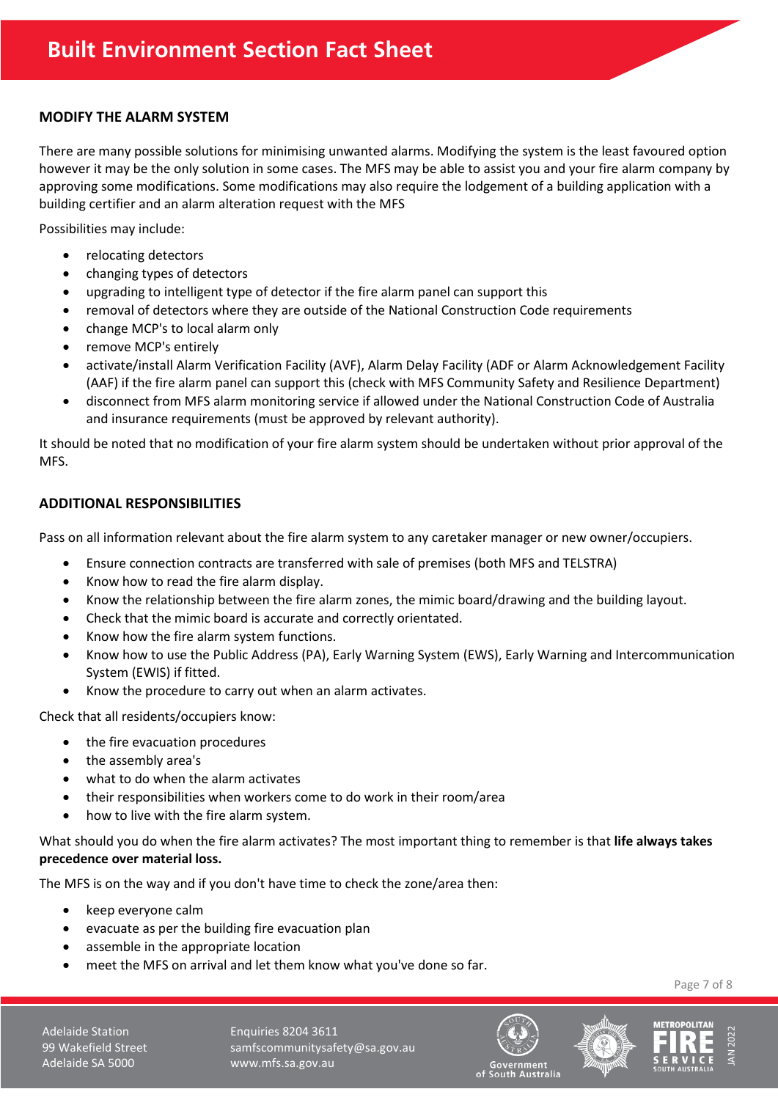#### <span id="page-6-0"></span>**MODIFY THE ALARM SYSTEM**

There are many possible solutions for minimising unwanted alarms. Modifying the system is the least favoured option however it may be the only solution in some cases. The MFS may be able to assist you and your fire alarm company by approving some modifications. Some modifications may also require the lodgement of a building application with a building certifier and an alarm alteration request with the MFS

Possibilities may include:

- relocating detectors
- changing types of detectors
- upgrading to intelligent type of detector if the fire alarm panel can support this
- removal of detectors where they are outside of the National Construction Code requirements
- change MCP's to local alarm only
- remove MCP's entirely
- activate/install Alarm Verification Facility (AVF), Alarm Delay Facility (ADF or Alarm Acknowledgement Facility (AAF) if the fire alarm panel can support this (check with MFS Community Safety and Resilience Department)
- disconnect from MFS alarm monitoring service if allowed under the National Construction Code of Australia and insurance requirements (must be approved by relevant authority).

It should be noted that no modification of your fire alarm system should be undertaken without prior approval of the MFS.

#### <span id="page-6-1"></span>**ADDITIONAL RESPONSIBILITIES**

Pass on all information relevant about the fire alarm system to any caretaker manager or new owner/occupiers.

- Ensure connection contracts are transferred with sale of premises (both MFS and TELSTRA)
- Know how to read the fire alarm display.
- Know the relationship between the fire alarm zones, the mimic board/drawing and the building layout.
- Check that the mimic board is accurate and correctly orientated.
- Know how the fire alarm system functions.
- Know how to use the Public Address (PA), Early Warning System (EWS), Early Warning and Intercommunication System (EWIS) if fitted.
- Know the procedure to carry out when an alarm activates.

Check that all residents/occupiers know:

- the fire evacuation procedures
- the assembly area's
- what to do when the alarm activates
- their responsibilities when workers come to do work in their room/area
- how to live with the fire alarm system.

What should you do when the fire alarm activates? The most important thing to remember is that **life always takes precedence over material loss.**

The MFS is on the way and if you don't have time to check the zone/area then:

- keep everyone calm
- evacuate as per the building fire evacuation plan
- assemble in the appropriate location
- meet the MFS on arrival and let them know what you've done so far.

Page 7 of 8